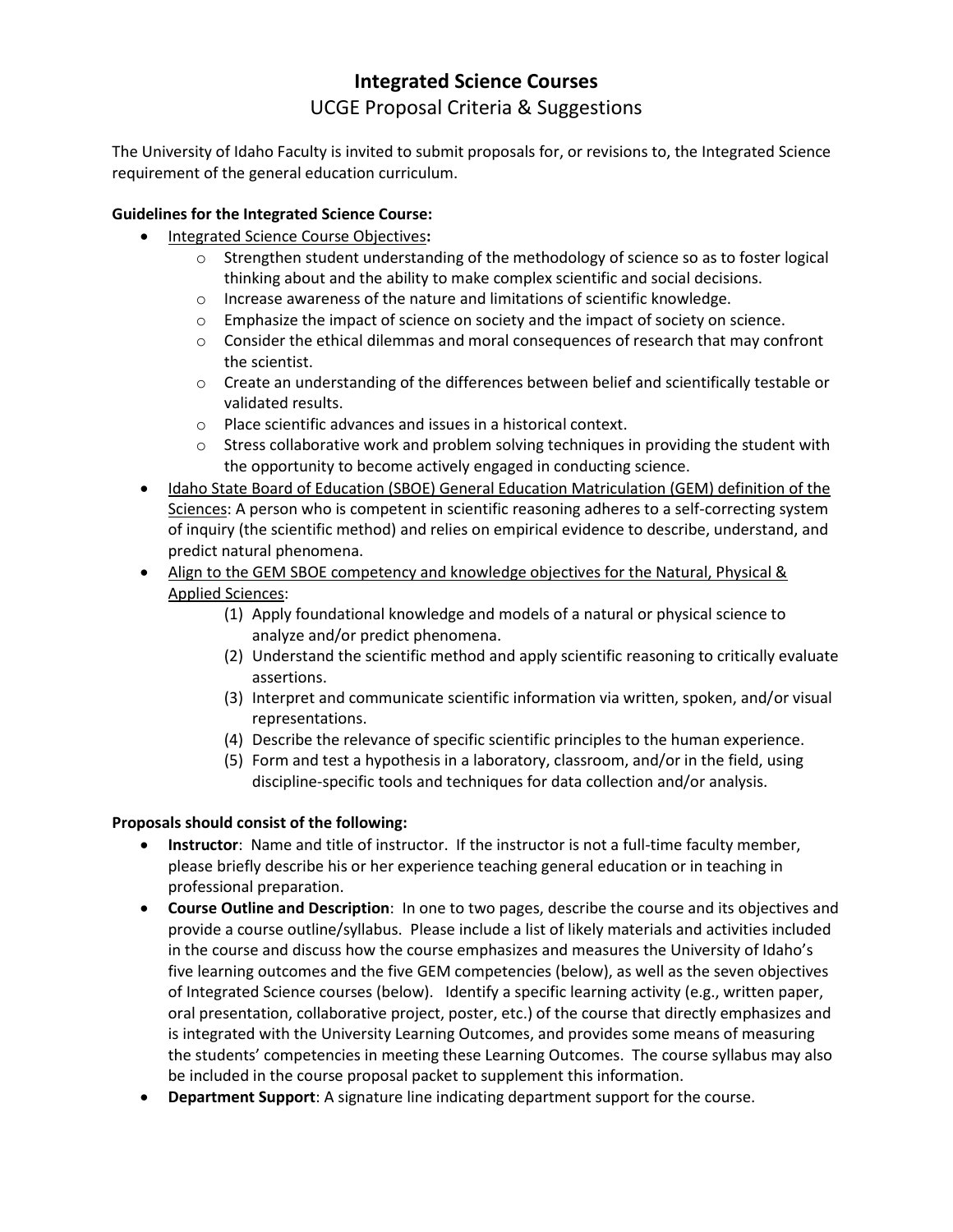## **Integrated Science Courses** UCGE Proposal Criteria & Suggestions

The University of Idaho Faculty is invited to submit proposals for, or revisions to, the Integrated Science requirement of the general education curriculum.

## **Guidelines for the Integrated Science Course:**

- Integrated Science Course Objectives**:**
	- $\circ$  Strengthen student understanding of the methodology of science so as to foster logical thinking about and the ability to make complex scientific and social decisions.
	- o Increase awareness of the nature and limitations of scientific knowledge.
	- $\circ$  Emphasize the impact of science on society and the impact of society on science.
	- $\circ$  Consider the ethical dilemmas and moral consequences of research that may confront the scientist.
	- o Create an understanding of the differences between belief and scientifically testable or validated results.
	- o Place scientific advances and issues in a historical context.
	- $\circ$  Stress collaborative work and problem solving techniques in providing the student with the opportunity to become actively engaged in conducting science.
- Idaho State Board of Education (SBOE) General Education Matriculation (GEM) definition of the Sciences: A person who is competent in scientific reasoning adheres to a self-correcting system of inquiry (the scientific method) and relies on empirical evidence to describe, understand, and predict natural phenomena.
- Align to the GEM SBOE competency and knowledge objectives for the Natural, Physical & Applied Sciences:
	- (1) Apply foundational knowledge and models of a natural or physical science to analyze and/or predict phenomena.
	- (2) Understand the scientific method and apply scientific reasoning to critically evaluate assertions.
	- (3) Interpret and communicate scientific information via written, spoken, and/or visual representations.
	- (4) Describe the relevance of specific scientific principles to the human experience.
	- (5) Form and test a hypothesis in a laboratory, classroom, and/or in the field, using discipline-specific tools and techniques for data collection and/or analysis.

## **Proposals should consist of the following:**

- **Instructor**: Name and title of instructor. If the instructor is not a full-time faculty member, please briefly describe his or her experience teaching general education or in teaching in professional preparation.
- **Course Outline and Description**: In one to two pages, describe the course and its objectives and provide a course outline/syllabus. Please include a list of likely materials and activities included in the course and discuss how the course emphasizes and measures the University of Idaho's five learning outcomes and the five GEM competencies (below), as well as the seven objectives of Integrated Science courses (below). Identify a specific learning activity (e.g., written paper, oral presentation, collaborative project, poster, etc.) of the course that directly emphasizes and is integrated with the University Learning Outcomes, and provides some means of measuring the students' competencies in meeting these Learning Outcomes. The course syllabus may also be included in the course proposal packet to supplement this information.
- **Department Support**: A signature line indicating department support for the course.